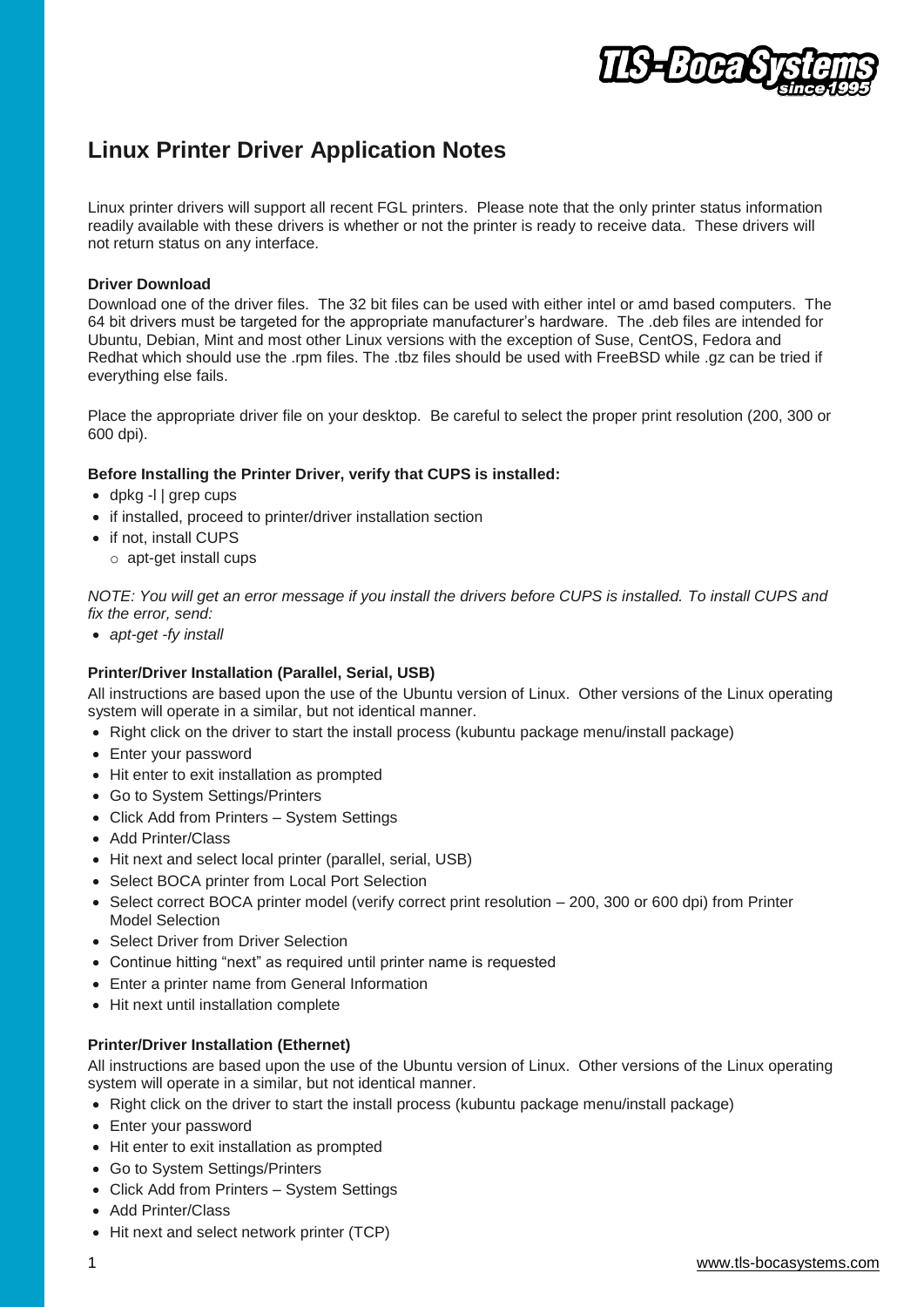

# **Linux Printer Driver Application Notes**

Linux printer drivers will support all recent FGL printers. Please note that the only printer status information readily available with these drivers is whether or not the printer is ready to receive data. These drivers will not return status on any interface.

#### **Driver Download**

Download one of the driver files. The 32 bit files can be used with either intel or amd based computers. The 64 bit drivers must be targeted for the appropriate manufacturer's hardware. The .deb files are intended for Ubuntu, Debian, Mint and most other Linux versions with the exception of Suse, CentOS, Fedora and Redhat which should use the .rpm files. The .tbz files should be used with FreeBSD while .gz can be tried if everything else fails.

Place the appropriate driver file on your desktop. Be careful to select the proper print resolution (200, 300 or 600 dpi).

#### **Before Installing the Printer Driver, verify that CUPS is installed:**

- dpkg -l | grep cups
- if installed, proceed to printer/driver installation section
- if not, install CUPS
	- o apt-get install cups

*NOTE: You will get an error message if you install the drivers before CUPS is installed. To install CUPS and fix the error, send:*

*apt-get -fy install*

### **Printer/Driver Installation (Parallel, Serial, USB)**

All instructions are based upon the use of the Ubuntu version of Linux. Other versions of the Linux operating system will operate in a similar, but not identical manner.

- Right click on the driver to start the install process (kubuntu package menu/install package)
- Enter your password
- Hit enter to exit installation as prompted
- Go to System Settings/Printers
- Click Add from Printers System Settings
- Add Printer/Class
- Hit next and select local printer (parallel, serial, USB)
- Select BOCA printer from Local Port Selection
- Select correct BOCA printer model (verify correct print resolution 200, 300 or 600 dpi) from Printer Model Selection
- Select Driver from Driver Selection
- Continue hitting "next" as required until printer name is requested
- Enter a printer name from General Information
- Hit next until installation complete

#### **Printer/Driver Installation (Ethernet)**

All instructions are based upon the use of the Ubuntu version of Linux. Other versions of the Linux operating system will operate in a similar, but not identical manner.

- Right click on the driver to start the install process (kubuntu package menu/install package)
- Enter your password
- Hit enter to exit installation as prompted
- Go to System Settings/Printers
- Click Add from Printers System Settings
- Add Printer/Class
- Hit next and select network printer (TCP)